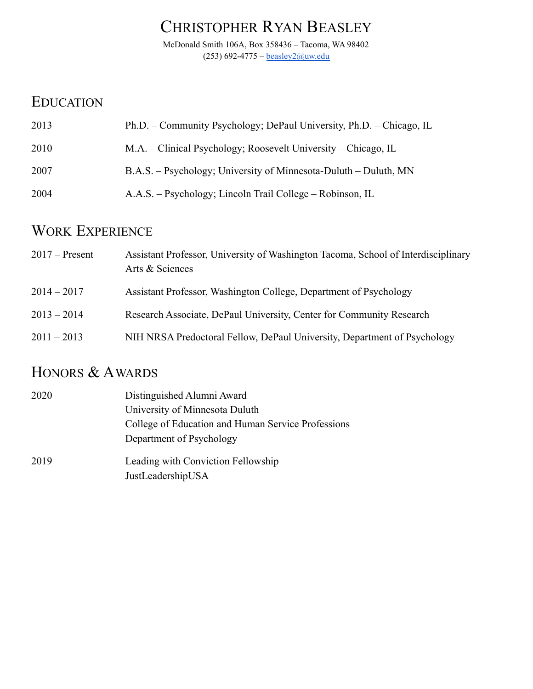# CHRISTOPHER RYAN BEASLEY

McDonald Smith 106A, Box 358436 – Tacoma, WA 98402  $(253)$  692-4775 – [beasley2@uw.edu](mailto:beasley2@uw.edu)

## EDUCATION

| 2013 | Ph.D. – Community Psychology; DePaul University, Ph.D. – Chicago, IL |
|------|----------------------------------------------------------------------|
| 2010 | M.A. – Clinical Psychology; Roosevelt University – Chicago, IL       |
| 2007 | B.A.S. – Psychology; University of Minnesota-Duluth – Duluth, MN     |
| 2004 | A.A.S. – Psychology; Lincoln Trail College – Robinson, IL            |

## WORK EXPERIENCE

| $2017$ – Present | Assistant Professor, University of Washington Tacoma, School of Interdisciplinary<br>Arts & Sciences |
|------------------|------------------------------------------------------------------------------------------------------|
| $2014 - 2017$    | Assistant Professor, Washington College, Department of Psychology                                    |
| $2013 - 2014$    | Research Associate, DePaul University, Center for Community Research                                 |
| $2011 - 2013$    | NIH NRSA Predoctoral Fellow, DePaul University, Department of Psychology                             |

# HONORS & AWARDS

| 2020 | Distinguished Alumni Award                         |
|------|----------------------------------------------------|
|      | University of Minnesota Duluth                     |
|      | College of Education and Human Service Professions |
|      | Department of Psychology                           |
| 2019 | Leading with Conviction Fellowship                 |
|      | JustLeadershipUSA                                  |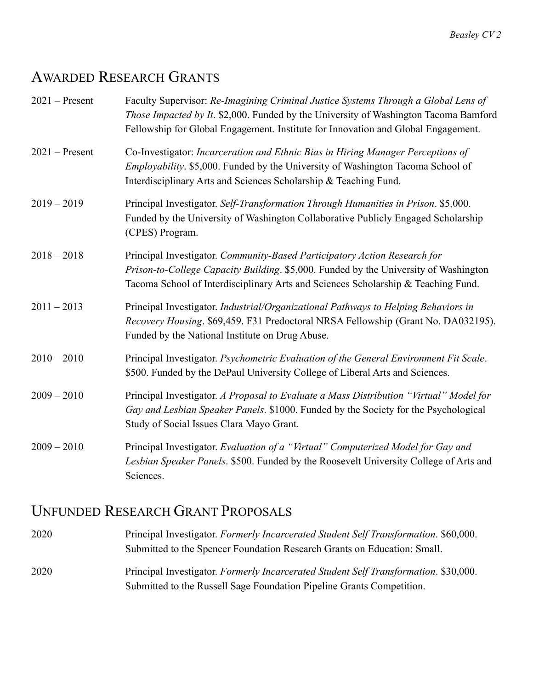## AWARDED RESEARCH GRANTS

| $2021$ – Present | Faculty Supervisor: Re-Imagining Criminal Justice Systems Through a Global Lens of<br>Those Impacted by It. \$2,000. Funded by the University of Washington Tacoma Bamford<br>Fellowship for Global Engagement. Institute for Innovation and Global Engagement. |
|------------------|-----------------------------------------------------------------------------------------------------------------------------------------------------------------------------------------------------------------------------------------------------------------|
| $2021$ – Present | Co-Investigator: Incarceration and Ethnic Bias in Hiring Manager Perceptions of<br>Employability. \$5,000. Funded by the University of Washington Tacoma School of<br>Interdisciplinary Arts and Sciences Scholarship & Teaching Fund.                          |
| $2019 - 2019$    | Principal Investigator. Self-Transformation Through Humanities in Prison. \$5,000.<br>Funded by the University of Washington Collaborative Publicly Engaged Scholarship<br>(CPES) Program.                                                                      |
| $2018 - 2018$    | Principal Investigator. Community-Based Participatory Action Research for<br>Prison-to-College Capacity Building. \$5,000. Funded by the University of Washington<br>Tacoma School of Interdisciplinary Arts and Sciences Scholarship & Teaching Fund.          |
| $2011 - 2013$    | Principal Investigator. Industrial/Organizational Pathways to Helping Behaviors in<br>Recovery Housing. \$69,459. F31 Predoctoral NRSA Fellowship (Grant No. DA032195).<br>Funded by the National Institute on Drug Abuse.                                      |
| $2010 - 2010$    | Principal Investigator. Psychometric Evaluation of the General Environment Fit Scale.<br>\$500. Funded by the DePaul University College of Liberal Arts and Sciences.                                                                                           |
| $2009 - 2010$    | Principal Investigator. A Proposal to Evaluate a Mass Distribution "Virtual" Model for<br>Gay and Lesbian Speaker Panels. \$1000. Funded by the Society for the Psychological<br>Study of Social Issues Clara Mayo Grant.                                       |
| $2009 - 2010$    | Principal Investigator. Evaluation of a "Virtual" Computerized Model for Gay and<br>Lesbian Speaker Panels. \$500. Funded by the Roosevelt University College of Arts and<br>Sciences.                                                                          |

### UNFUNDED RESEARCH GRANT PROPOSALS

- 2020 Principal Investigator. *Formerly Incarcerated Student Self Transformation*. \$60,000. Submitted to the Spencer Foundation Research Grants on Education: Small.
- 2020 Principal Investigator. *Formerly Incarcerated Student Self Transformation*. \$30,000. Submitted to the Russell Sage Foundation Pipeline Grants Competition.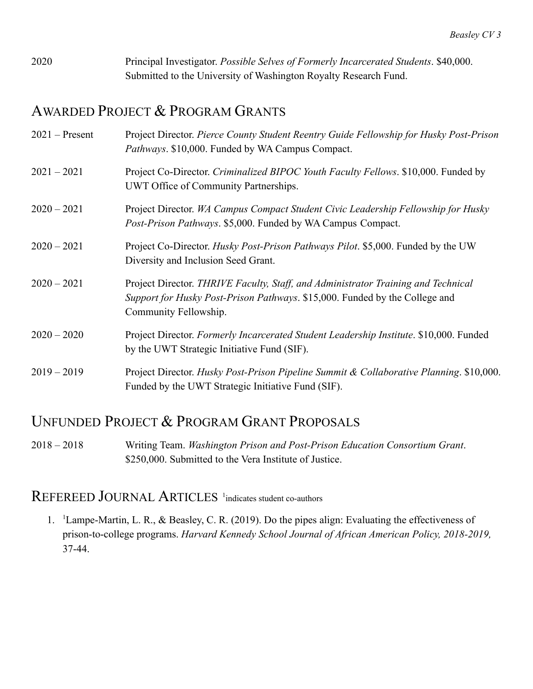2020 Principal Investigator. *Possible Selves of Formerly Incarcerated Students*. \$40,000. Submitted to the University of Washington Royalty Research Fund.

## AWARDED PROJECT & PROGRAM GRANTS

| $2021$ – Present | Project Director. Pierce County Student Reentry Guide Fellowship for Husky Post-Prison<br>Pathways. \$10,000. Funded by WA Campus Compact.                                                |
|------------------|-------------------------------------------------------------------------------------------------------------------------------------------------------------------------------------------|
| $2021 - 2021$    | Project Co-Director. Criminalized BIPOC Youth Faculty Fellows. \$10,000. Funded by<br>UWT Office of Community Partnerships.                                                               |
| $2020 - 2021$    | Project Director. WA Campus Compact Student Civic Leadership Fellowship for Husky<br>Post-Prison Pathways. \$5,000. Funded by WA Campus Compact.                                          |
| $2020 - 2021$    | Project Co-Director. Husky Post-Prison Pathways Pilot. \$5,000. Funded by the UW<br>Diversity and Inclusion Seed Grant.                                                                   |
| $2020 - 2021$    | Project Director. THRIVE Faculty, Staff, and Administrator Training and Technical<br>Support for Husky Post-Prison Pathways. \$15,000. Funded by the College and<br>Community Fellowship. |
| $2020 - 2020$    | Project Director. Formerly Incarcerated Student Leadership Institute. \$10,000. Funded<br>by the UWT Strategic Initiative Fund (SIF).                                                     |
| $2019 - 2019$    | Project Director. Husky Post-Prison Pipeline Summit & Collaborative Planning. \$10,000.<br>Funded by the UWT Strategic Initiative Fund (SIF).                                             |

### UNFUNDED PROJECT & PROGRAM GRANT PROPOSALS

2018 – 2018 Writing Team. *Washington Prison and Post-Prison Education Consortium Grant*. \$250,000. Submitted to the Vera Institute of Justice.

#### REFEREED JOURNAL ARTICLES<sup>1</sup> indicates student co-authors

1. <sup>1</sup>Lampe-Martin, L. R., & Beasley, C. R. (2019). Do the pipes align: Evaluating the effectiveness of prison-to-college programs. *Harvard Kennedy School Journal of African American Policy, 2018-2019,* 37-44.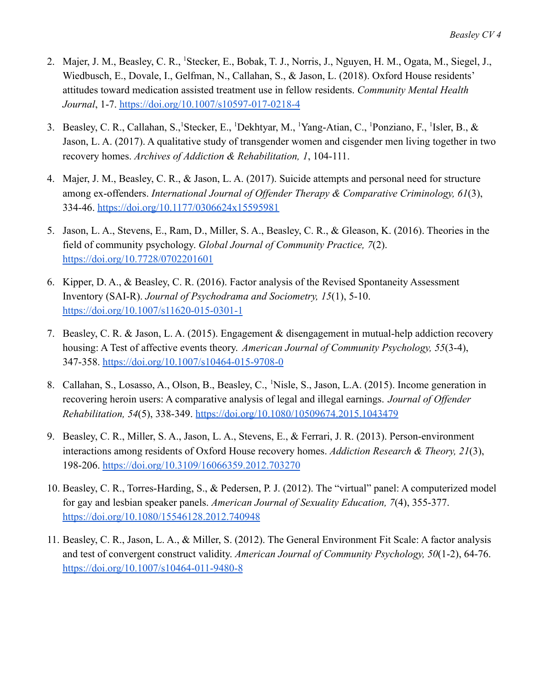- 2. Majer, J. M., Beasley, C. R., <sup>1</sup>Stecker, E., Bobak, T. J., Norris, J., Nguyen, H. M., Ogata, M., Siegel, J., Wiedbusch, E., Dovale, I., Gelfman, N., Callahan, S., & Jason, L. (2018). Oxford House residents' attitudes toward medication assisted treatment use in fellow residents. *Community Mental Health Journal*, 1-7. <https://doi.org/10.1007/s10597-017-0218-4>
- 3. Beasley, C. R., Callahan, S., Stecker, E., <sup>1</sup>Dekhtyar, M., <sup>1</sup>Yang-Atian, C., <sup>1</sup>Ponziano, F., <sup>1</sup>Isler, B., & Jason, L. A. (2017). A qualitative study of transgender women and cisgender men living together in two recovery homes. *Archives of Addiction & Rehabilitation, 1*, 104-111.
- 4. Majer, J. M., Beasley, C. R., & Jason, L. A. (2017). Suicide attempts and personal need for structure among ex-offenders. *International Journal of Offender Therapy & Comparative Criminology, 61*(3), 334-46. <https://doi.org/10.1177/0306624x15595981>
- 5. Jason, L. A., Stevens, E., Ram, D., Miller, S. A., Beasley, C. R., & Gleason, K. (2016). Theories in the field of community psychology. *Global Journal of Community Practice, 7*(2). <https://doi.org/10.7728/0702201601>
- 6. Kipper, D. A., & Beasley, C. R. (2016). Factor analysis of the Revised Spontaneity Assessment Inventory (SAI-R). *Journal of Psychodrama and Sociometry, 15*(1), 5-10. <https://doi.org/10.1007/s11620-015-0301-1>
- 7. Beasley, C. R. & Jason, L. A. (2015). Engagement & disengagement in mutual-help addiction recovery housing: A Test of affective events theory. *American Journal of Community Psychology, 55*(3-4), 347-358. <https://doi.org/10.1007/s10464-015-9708-0>
- 8. Callahan, S., Losasso, A., Olson, B., Beasley, C., <sup>1</sup>Nisle, S., Jason, L.A. (2015). Income generation in recovering heroin users: A comparative analysis of legal and illegal earnings. *Journal of Offender Rehabilitation, 54*(5), 338-349. <https://doi.org/10.1080/10509674.2015.1043479>
- 9. Beasley, C. R., Miller, S. A., Jason, L. A., Stevens, E., & Ferrari, J. R. (2013). Person-environment interactions among residents of Oxford House recovery homes. *Addiction Research & Theory, 21*(3), 198-206. <https://doi.org/10.3109/16066359.2012.703270>
- 10. Beasley, C. R., Torres-Harding, S., & Pedersen, P. J. (2012). The "virtual" panel: A computerized model for gay and lesbian speaker panels. *American Journal of Sexuality Education, 7*(4), 355-377. <https://doi.org/10.1080/15546128.2012.740948>
- 11. Beasley, C. R., Jason, L. A., & Miller, S. (2012). The General Environment Fit Scale: A factor analysis and test of convergent construct validity. *American Journal of Community Psychology, 50*(1-2), 64-76. <https://doi.org/10.1007/s10464-011-9480-8>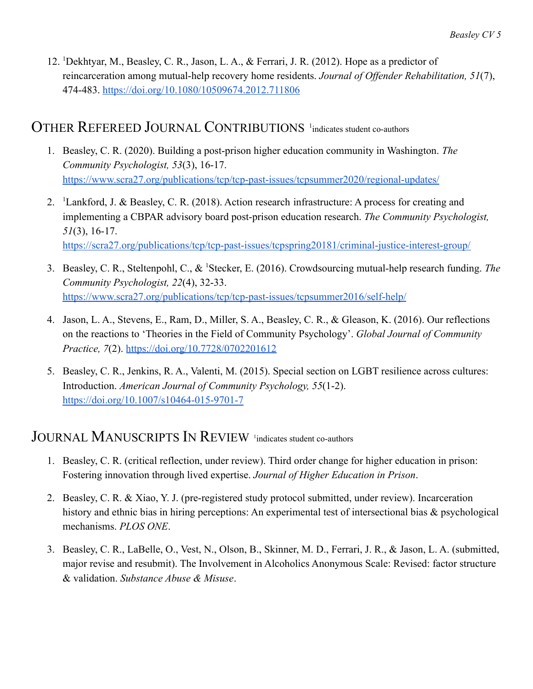12. <sup>1</sup>Dekhtyar, M., Beasley, C. R., Jason, L. A., & Ferrari, J. R. (2012). Hope as a predictor of reincarceration among mutual-help recovery home residents. *Journal of Offender Rehabilitation, 51*(7), 474-483. <https://doi.org/10.1080/10509674.2012.711806>

#### OTHER REFEREED JOURNAL CONTRIBUTIONS <sup>1</sup>indicates student co-authors

- 1. Beasley, C. R. (2020). Building a post-prison higher education community in Washington. *The Community Psychologist, 53*(3), 16-17. <https://www.scra27.org/publications/tcp/tcp-past-issues/tcpsummer2020/regional-updates/>
- 2. <sup>1</sup>Lankford, J. & Beasley, C. R. (2018). Action research infrastructure: A process for creating and implementing a CBPAR advisory board post-prison education research. *The Community Psychologist, 51*(3), 16-17. <https://scra27.org/publications/tcp/tcp-past-issues/tcpspring20181/criminal-justice-interest-group/>
- 3. Beasley, C. R., Steltenpohl, C., & <sup>1</sup>Stecker, E. (2016). Crowdsourcing mutual-help research funding. *The Community Psychologist, 22*(4), 32-33. <https://www.scra27.org/publications/tcp/tcp-past-issues/tcpsummer2016/self-help/>
- 4. Jason, L. A., Stevens, E., Ram, D., Miller, S. A., Beasley, C. R., & Gleason, K. (2016). Our reflections on the reactions to 'Theories in the Field of Community Psychology'. *Global Journal of Community Practice, 7*(2). <https://doi.org/10.7728/0702201612>
- 5. Beasley, C. R., Jenkins, R. A., Valenti, M. (2015). Special section on LGBT resilience across cultures: Introduction. *American Journal of Community Psychology, 55*(1-2). <https://doi.org/10.1007/s10464-015-9701-7>

#### JOURNAL MANUSCRIPTS IN REVIEW <sup>1</sup>indicates student co-authors

- 1. Beasley, C. R. (critical reflection, under review). Third order change for higher education in prison: Fostering innovation through lived expertise. *Journal of Higher Education in Prison*.
- 2. Beasley, C. R. & Xiao, Y. J. (pre-registered study protocol submitted, under review). Incarceration history and ethnic bias in hiring perceptions: An experimental test of intersectional bias & psychological mechanisms. *PLOS ONE*.
- 3. Beasley, C. R., LaBelle, O., Vest, N., Olson, B., Skinner, M. D., Ferrari, J. R., & Jason, L. A. (submitted, major revise and resubmit). The Involvement in Alcoholics Anonymous Scale: Revised: factor structure & validation. *Substance Abuse & Misuse*.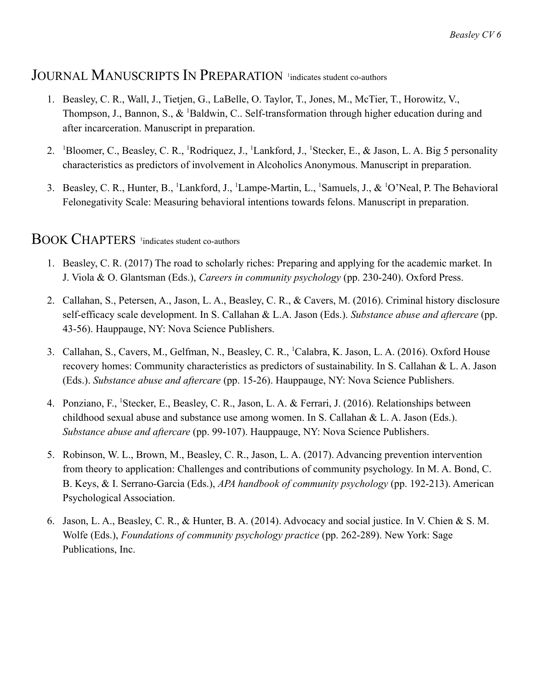#### JOURNAL MANUSCRIPTS IN PREPARATION <sup>1</sup>indicates student co-authors

- 1. Beasley, C. R., Wall, J., Tietjen, G., LaBelle, O. Taylor, T., Jones, M., McTier, T., Horowitz, V., Thompson, J., Bannon, S., & <sup>1</sup>Baldwin, C., Self-transformation through higher education during and after incarceration. Manuscript in preparation.
- 2. <sup>1</sup>Bloomer, C., Beasley, C. R., <sup>1</sup>Rodriquez, J., <sup>1</sup>Lankford, J., <sup>1</sup>Stecker, E., & Jason, L. A. Big 5 personality characteristics as predictors of involvement in Alcoholics Anonymous. Manuscript in preparation.
- 3. Beasley, C. R., Hunter, B., <sup>1</sup>Lankford, J., <sup>1</sup>Lampe-Martin, L., <sup>1</sup>Samuels, J., & <sup>1</sup>O'Neal, P. The Behavioral Felonegativity Scale: Measuring behavioral intentions towards felons. Manuscript in preparation.

#### BOOK CHAPTERS 1 indicates student co-authors

- 1. Beasley, C. R. (2017) The road to scholarly riches: Preparing and applying for the academic market. In J. Viola & O. Glantsman (Eds.), *Careers in community psychology* (pp. 230-240). Oxford Press.
- 2. Callahan, S., Petersen, A., Jason, L. A., Beasley, C. R., & Cavers, M. (2016). Criminal history disclosure self-efficacy scale development. In S. Callahan & L.A. Jason (Eds.). *Substance abuse and aftercare* (pp. 43-56). Hauppauge, NY: Nova Science Publishers.
- 3. Callahan, S., Cavers, M., Gelfman, N., Beasley, C. R., <sup>1</sup>Calabra, K. Jason, L. A. (2016). Oxford House recovery homes: Community characteristics as predictors of sustainability. In S. Callahan & L. A. Jason (Eds.). *Substance abuse and aftercare* (pp. 15-26). Hauppauge, NY: Nova Science Publishers.
- 4. Ponziano, F., <sup>1</sup>Stecker, E., Beasley, C. R., Jason, L. A. & Ferrari, J. (2016). Relationships between childhood sexual abuse and substance use among women. In S. Callahan & L. A. Jason (Eds.). *Substance abuse and aftercare* (pp. 99-107). Hauppauge, NY: Nova Science Publishers.
- 5. Robinson, W. L., Brown, M., Beasley, C. R., Jason, L. A. (2017). Advancing prevention intervention from theory to application: Challenges and contributions of community psychology. In M. A. Bond, C. B. Keys, & I. Serrano-Garcia (Eds.), *APA handbook of community psychology* (pp. 192-213). American Psychological Association.
- 6. Jason, L. A., Beasley, C. R., & Hunter, B. A. (2014). Advocacy and social justice. In V. Chien & S. M. Wolfe (Eds.), *Foundations of community psychology practice* (pp. 262-289). New York: Sage Publications, Inc.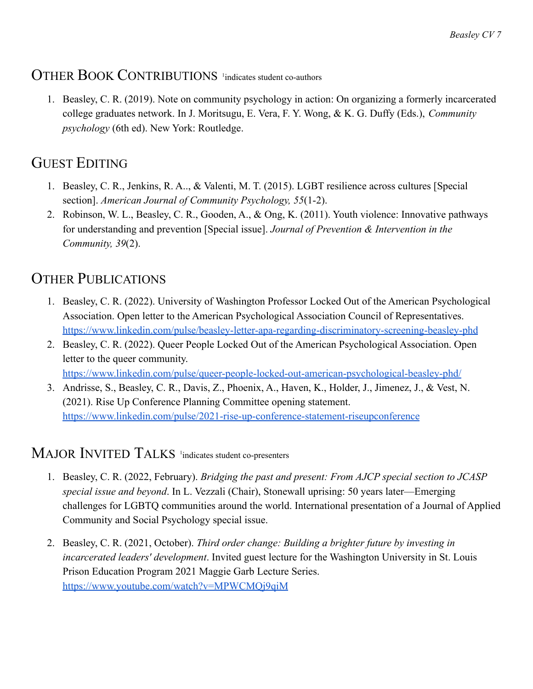### OTHER BOOK CONTRIBUTIONS <sup>1</sup>indicates student co-authors

1. Beasley, C. R. (2019). Note on community psychology in action: On organizing a formerly incarcerated college graduates network. In J. Moritsugu, E. Vera, F. Y. Wong, & K. G. Duffy (Eds.), *Community psychology* (6th ed). New York: Routledge.

## GUEST EDITING

- 1. Beasley, C. R., Jenkins, R. A.., & Valenti, M. T. (2015). LGBT resilience across cultures [Special section]. *American Journal of Community Psychology, 55*(1-2).
- 2. Robinson, W. L., Beasley, C. R., Gooden, A., & Ong, K. (2011). Youth violence: Innovative pathways for understanding and prevention [Special issue]. *Journal of Prevention & Intervention in the Community, 39*(2).

### OTHER PUBLICATIONS

- 1. Beasley, C. R. (2022). University of Washington Professor Locked Out of the American Psychological Association. Open letter to the American Psychological Association Council of Representatives. <https://www.linkedin.com/pulse/beasley-letter-apa-regarding-discriminatory-screening-beasley-phd>
- 2. Beasley, C. R. (2022). Queer People Locked Out of the American Psychological Association. Open letter to the queer community. <https://www.linkedin.com/pulse/queer-people-locked-out-american-psychological-beasley-phd/>
- 3. Andrisse, S., Beasley, C. R., Davis, Z., Phoenix, A., Haven, K., Holder, J., Jimenez, J., & Vest, N. (2021). Rise Up Conference Planning Committee opening statement. <https://www.linkedin.com/pulse/2021-rise-up-conference-statement-riseupconference>

### MAJOR INVITED TALKS <sup>1</sup>indicates student co-presenters

- 1. Beasley, C. R. (2022, February). *Bridging the past and present: From AJCP special section to JCASP special issue and beyond*. In L. Vezzali (Chair), Stonewall uprising: 50 years later—Emerging challenges for LGBTQ communities around the world. International presentation of a Journal of Applied Community and Social Psychology special issue.
- 2. Beasley, C. R. (2021, October). *Third order change: Building a brighter future by investing in incarcerated leaders' development*. Invited guest lecture for the Washington University in St. Louis Prison Education Program 2021 Maggie Garb Lecture Series. <https://www.youtube.com/watch?v=MPWCMQj9qiM>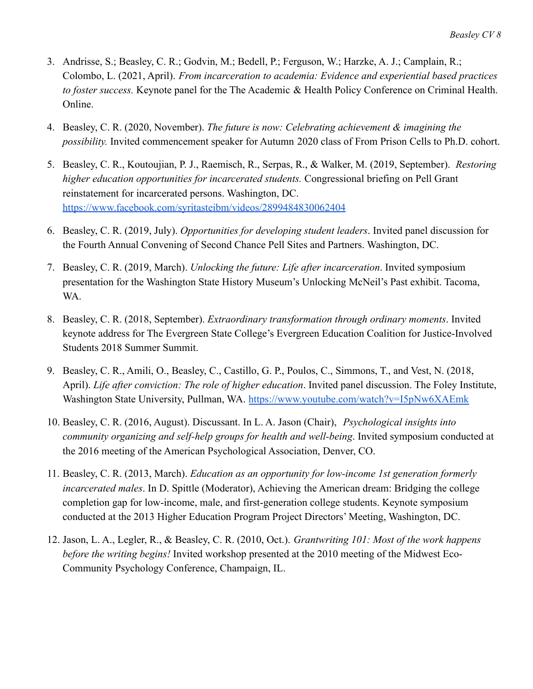- 3. Andrisse, S.; Beasley, C. R.; Godvin, M.; Bedell, P.; Ferguson, W.; Harzke, A. J.; Camplain, R.; Colombo, L. (2021, April). *From incarceration to academia: Evidence and experiential based practices to foster success.* Keynote panel for the The Academic & Health Policy Conference on Criminal Health. Online.
- 4. Beasley, C. R. (2020, November). *The future is now: Celebrating achievement & imagining the possibility.* Invited commencement speaker for Autumn 2020 class of From Prison Cells to Ph.D. cohort.
- 5. Beasley, C. R., Koutoujian, P. J., Raemisch, R., Serpas, R., & Walker, M. (2019, September). *Restoring higher education opportunities for incarcerated students.* Congressional briefing on Pell Grant reinstatement for incarcerated persons. Washington, DC. <https://www.facebook.com/syritasteibm/videos/2899484830062404>
- 6. Beasley, C. R. (2019, July). *Opportunities for developing student leaders*. Invited panel discussion for the Fourth Annual Convening of Second Chance Pell Sites and Partners. Washington, DC.
- 7. Beasley, C. R. (2019, March). *Unlocking the future: Life after incarceration*. Invited symposium presentation for the Washington State History Museum's Unlocking McNeil's Past exhibit. Tacoma, WA.
- 8. Beasley, C. R. (2018, September). *Extraordinary transformation through ordinary moments*. Invited keynote address for The Evergreen State College's Evergreen Education Coalition for Justice-Involved Students 2018 Summer Summit.
- 9. Beasley, C. R., Amili, O., Beasley, C., Castillo, G. P., Poulos, C., Simmons, T., and Vest, N. (2018, April). *Life after conviction: The role of higher education*. Invited panel discussion. The Foley Institute, Washington State University, Pullman, WA. <https://www.youtube.com/watch?v=I5pNw6XAEmk>
- 10. Beasley, C. R. (2016, August). Discussant. In L. A. Jason (Chair), *Psychological insights into community organizing and self-help groups for health and well-being*. Invited symposium conducted at the 2016 meeting of the American Psychological Association, Denver, CO.
- 11. Beasley, C. R. (2013, March). *Education as an opportunity for low-income 1st generation formerly incarcerated males*. In D. Spittle (Moderator), Achieving the American dream: Bridging the college completion gap for low-income, male, and first-generation college students. Keynote symposium conducted at the 2013 Higher Education Program Project Directors' Meeting, Washington, DC.
- 12. Jason, L. A., Legler, R., & Beasley, C. R. (2010, Oct.). *Grantwriting 101: Most of the work happens before the writing begins!* Invited workshop presented at the 2010 meeting of the Midwest Eco-Community Psychology Conference, Champaign, IL.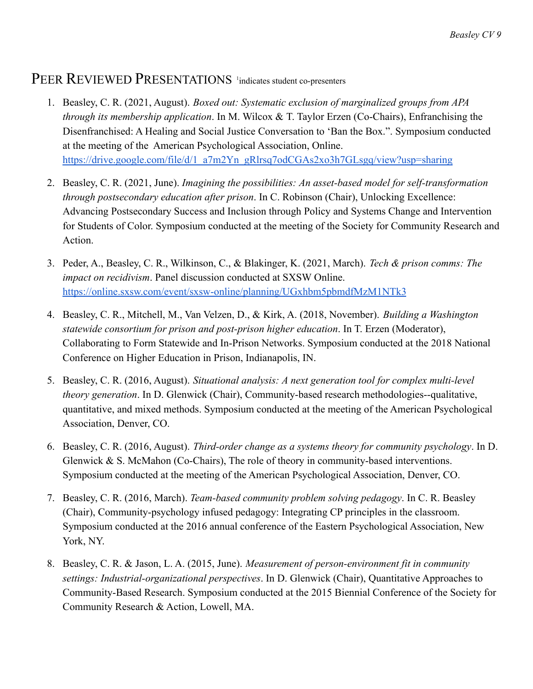### PEER REVIEWED PRESENTATIONS <sup>1</sup>indicates student co-presenters

- 1. Beasley, C. R. (2021, August). *Boxed out: Systematic exclusion of marginalized groups from APA through its membership application*. In M. Wilcox & T. Taylor Erzen (Co-Chairs), Enfranchising the Disenfranchised: A Healing and Social Justice Conversation to 'Ban the Box.". Symposium conducted at the meeting of the American Psychological Association, Online. [https://drive.google.com/file/d/1\\_a7m2Yn\\_gRlrsq7odCGAs2xo3h7GLsgq/view?usp=sharing](https://drive.google.com/file/d/1_a7m2Yn_gRlrsq7odCGAs2xo3h7GLsgq/view?usp=sharing)
- 2. Beasley, C. R. (2021, June). *Imagining the possibilities: An asset-based model for self-transformation through postsecondary education after prison*. In C. Robinson (Chair), Unlocking Excellence: Advancing Postsecondary Success and Inclusion through Policy and Systems Change and Intervention for Students of Color. Symposium conducted at the meeting of the Society for Community Research and Action.
- 3. Peder, A., Beasley, C. R., Wilkinson, C., & Blakinger, K. (2021, March). *Tech & prison comms: The impact on recidivism*. Panel discussion conducted at SXSW Online. <https://online.sxsw.com/event/sxsw-online/planning/UGxhbm5pbmdfMzM1NTk3>
- 4. Beasley, C. R., Mitchell, M., Van Velzen, D., & Kirk, A. (2018, November). *Building a Washington statewide consortium for prison and post-prison higher education*. In T. Erzen (Moderator), Collaborating to Form Statewide and In-Prison Networks. Symposium conducted at the 2018 National Conference on Higher Education in Prison, Indianapolis, IN.
- 5. Beasley, C. R. (2016, August). *Situational analysis: A next generation tool for complex multi-level theory generation*. In D. Glenwick (Chair), Community-based research methodologies--qualitative, quantitative, and mixed methods. Symposium conducted at the meeting of the American Psychological Association, Denver, CO.
- 6. Beasley, C. R. (2016, August). *Third-order change as a systems theory for community psychology*. In D. Glenwick & S. McMahon (Co-Chairs), The role of theory in community-based interventions. Symposium conducted at the meeting of the American Psychological Association, Denver, CO.
- 7. Beasley, C. R. (2016, March). *Team-based community problem solving pedagogy*. In C. R. Beasley (Chair), Community-psychology infused pedagogy: Integrating CP principles in the classroom. Symposium conducted at the 2016 annual conference of the Eastern Psychological Association, New York, NY.
- 8. Beasley, C. R. & Jason, L. A. (2015, June). *Measurement of person-environment fit in community settings: Industrial-organizational perspectives*. In D. Glenwick (Chair), Quantitative Approaches to Community-Based Research. Symposium conducted at the 2015 Biennial Conference of the Society for Community Research & Action, Lowell, MA.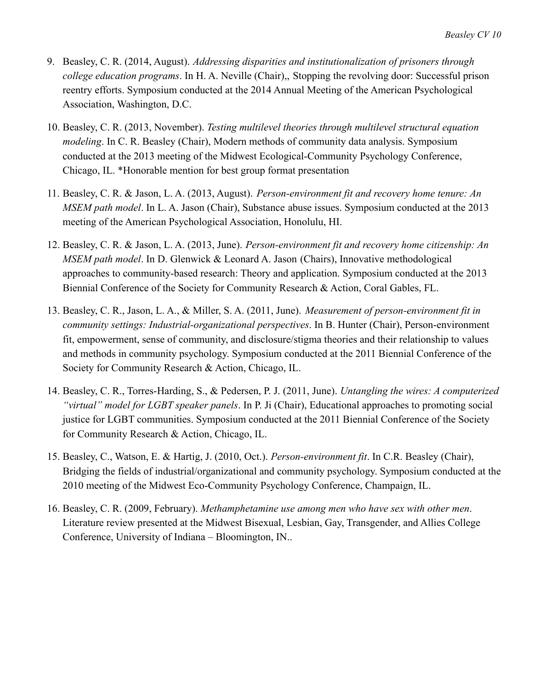- 9. Beasley, C. R. (2014, August). *Addressing disparities and institutionalization of prisoners through college education programs*. In H. A. Neville (Chair),, Stopping the revolving door: Successful prison reentry efforts. Symposium conducted at the 2014 Annual Meeting of the American Psychological Association, Washington, D.C.
- 10. Beasley, C. R. (2013, November). *Testing multilevel theories through multilevel structural equation modeling*. In C. R. Beasley (Chair), Modern methods of community data analysis. Symposium conducted at the 2013 meeting of the Midwest Ecological-Community Psychology Conference, Chicago, IL. \*Honorable mention for best group format presentation
- 11. Beasley, C. R. & Jason, L. A. (2013, August). *Person-environment fit and recovery home tenure: An MSEM path model*. In L. A. Jason (Chair), Substance abuse issues. Symposium conducted at the 2013 meeting of the American Psychological Association, Honolulu, HI.
- 12. Beasley, C. R. & Jason, L. A. (2013, June). *Person-environment fit and recovery home citizenship: An MSEM path model*. In D. Glenwick & Leonard A. Jason (Chairs), Innovative methodological approaches to community-based research: Theory and application. Symposium conducted at the 2013 Biennial Conference of the Society for Community Research & Action, Coral Gables, FL.
- 13. Beasley, C. R., Jason, L. A., & Miller, S. A. (2011, June). *Measurement of person-environment fit in community settings: Industrial-organizational perspectives*. In B. Hunter (Chair), Person-environment fit, empowerment, sense of community, and disclosure/stigma theories and their relationship to values and methods in community psychology. Symposium conducted at the 2011 Biennial Conference of the Society for Community Research & Action, Chicago, IL.
- 14. Beasley, C. R., Torres-Harding, S., & Pedersen, P. J. (2011, June). *Untangling the wires: A computerized "virtual" model for LGBT speaker panels*. In P. Ji (Chair), Educational approaches to promoting social justice for LGBT communities. Symposium conducted at the 2011 Biennial Conference of the Society for Community Research & Action, Chicago, IL.
- 15. Beasley, C., Watson, E. & Hartig, J. (2010, Oct.). *Person-environment fit*. In C.R. Beasley (Chair), Bridging the fields of industrial/organizational and community psychology. Symposium conducted at the 2010 meeting of the Midwest Eco-Community Psychology Conference, Champaign, IL.
- 16. Beasley, C. R. (2009, February). *Methamphetamine use among men who have sex with other men*. Literature review presented at the Midwest Bisexual, Lesbian, Gay, Transgender, and Allies College Conference, University of Indiana – Bloomington, IN..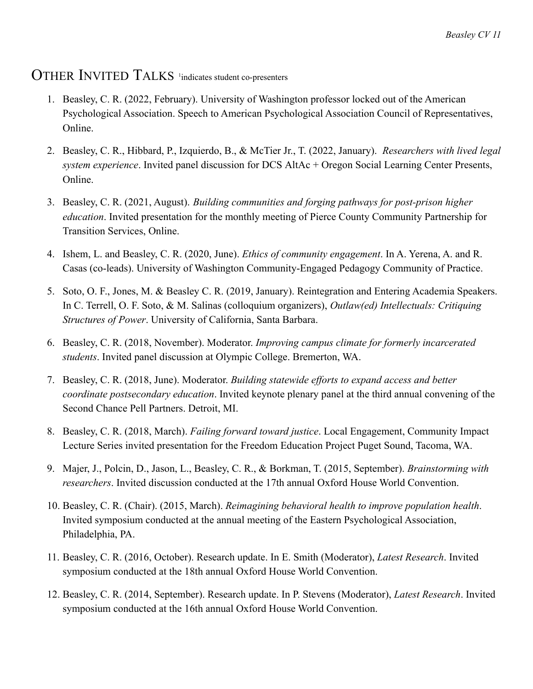### OTHER INVITED TALKS <sup>1</sup>indicates student co-presenters

- 1. Beasley, C. R. (2022, February). University of Washington professor locked out of the American Psychological Association. Speech to American Psychological Association Council of Representatives, Online.
- 2. Beasley, C. R., Hibbard, P., Izquierdo, B., & McTier Jr., T. (2022, January). *Researchers with lived legal system experience*. Invited panel discussion for DCS AltAc + Oregon Social Learning Center Presents, Online.
- 3. Beasley, C. R. (2021, August). *Building communities and forging pathways for post-prison higher education*. Invited presentation for the monthly meeting of Pierce County Community Partnership for Transition Services, Online.
- 4. Ishem, L. and Beasley, C. R. (2020, June). *Ethics of community engagement*. In A. Yerena, A. and R. Casas (co-leads). University of Washington Community-Engaged Pedagogy Community of Practice.
- 5. Soto, O. F., Jones, M. & Beasley C. R. (2019, January). Reintegration and Entering Academia Speakers. In C. Terrell, O. F. Soto, & M. Salinas (colloquium organizers), *Outlaw(ed) Intellectuals: Critiquing Structures of Power*. University of California, Santa Barbara.
- 6. Beasley, C. R. (2018, November). Moderator. *Improving campus climate for formerly incarcerated students*. Invited panel discussion at Olympic College. Bremerton, WA.
- 7. Beasley, C. R. (2018, June). Moderator. *Building statewide efforts to expand access and better coordinate postsecondary education*. Invited keynote plenary panel at the third annual convening of the Second Chance Pell Partners. Detroit, MI.
- 8. Beasley, C. R. (2018, March). *Failing forward toward justice*. Local Engagement, Community Impact Lecture Series invited presentation for the Freedom Education Project Puget Sound, Tacoma, WA.
- 9. Majer, J., Polcin, D., Jason, L., Beasley, C. R., & Borkman, T. (2015, September). *Brainstorming with researchers*. Invited discussion conducted at the 17th annual Oxford House World Convention.
- 10. Beasley, C. R. (Chair). (2015, March). *Reimagining behavioral health to improve population health*. Invited symposium conducted at the annual meeting of the Eastern Psychological Association, Philadelphia, PA.
- 11. Beasley, C. R. (2016, October). Research update. In E. Smith (Moderator), *Latest Research*. Invited symposium conducted at the 18th annual Oxford House World Convention.
- 12. Beasley, C. R. (2014, September). Research update. In P. Stevens (Moderator), *Latest Research*. Invited symposium conducted at the 16th annual Oxford House World Convention.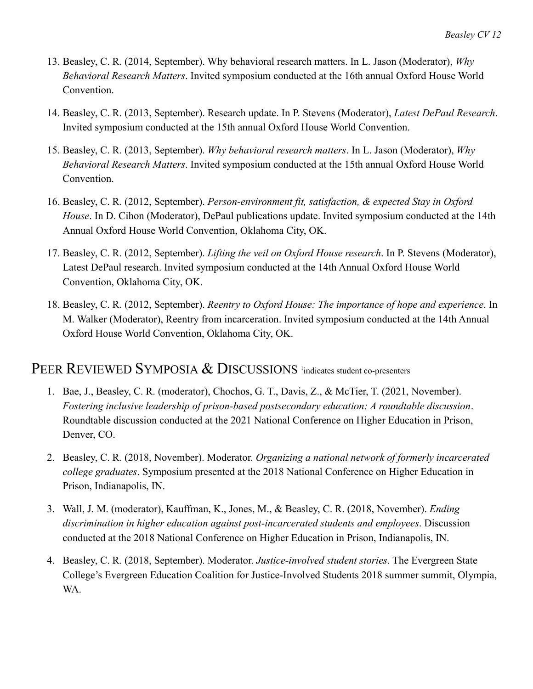- 13. Beasley, C. R. (2014, September). Why behavioral research matters. In L. Jason (Moderator), *Why Behavioral Research Matters*. Invited symposium conducted at the 16th annual Oxford House World Convention.
- 14. Beasley, C. R. (2013, September). Research update. In P. Stevens (Moderator), *Latest DePaul Research*. Invited symposium conducted at the 15th annual Oxford House World Convention.
- 15. Beasley, C. R. (2013, September). *Why behavioral research matters*. In L. Jason (Moderator), *Why Behavioral Research Matters*. Invited symposium conducted at the 15th annual Oxford House World Convention.
- 16. Beasley, C. R. (2012, September). *Person-environment fit, satisfaction, & expected Stay in Oxford House*. In D. Cihon (Moderator), DePaul publications update. Invited symposium conducted at the 14th Annual Oxford House World Convention, Oklahoma City, OK.
- 17. Beasley, C. R. (2012, September). *Lifting the veil on Oxford House research*. In P. Stevens (Moderator), Latest DePaul research. Invited symposium conducted at the 14th Annual Oxford House World Convention, Oklahoma City, OK.
- 18. Beasley, C. R. (2012, September). *Reentry to Oxford House: The importance of hope and experience*. In M. Walker (Moderator), Reentry from incarceration. Invited symposium conducted at the 14th Annual Oxford House World Convention, Oklahoma City, OK.

#### PEER REVIEWED SYMPOSIA & DISCUSSIONS <sup>1</sup>indicates student co-presenters

- 1. Bae, J., Beasley, C. R. (moderator), Chochos, G. T., Davis, Z., & McTier, T. (2021, November). *Fostering inclusive leadership of prison-based postsecondary education: A roundtable discussion*. Roundtable discussion conducted at the 2021 National Conference on Higher Education in Prison, Denver, CO.
- 2. Beasley, C. R. (2018, November). Moderator. *Organizing a national network of formerly incarcerated college graduates*. Symposium presented at the 2018 National Conference on Higher Education in Prison, Indianapolis, IN.
- 3. Wall, J. M. (moderator), Kauffman, K., Jones, M., & Beasley, C. R. (2018, November). *Ending discrimination in higher education against post-incarcerated students and employees*. Discussion conducted at the 2018 National Conference on Higher Education in Prison, Indianapolis, IN.
- 4. Beasley, C. R. (2018, September). Moderator. *Justice-involved student stories*. The Evergreen State College's Evergreen Education Coalition for Justice-Involved Students 2018 summer summit, Olympia, WA.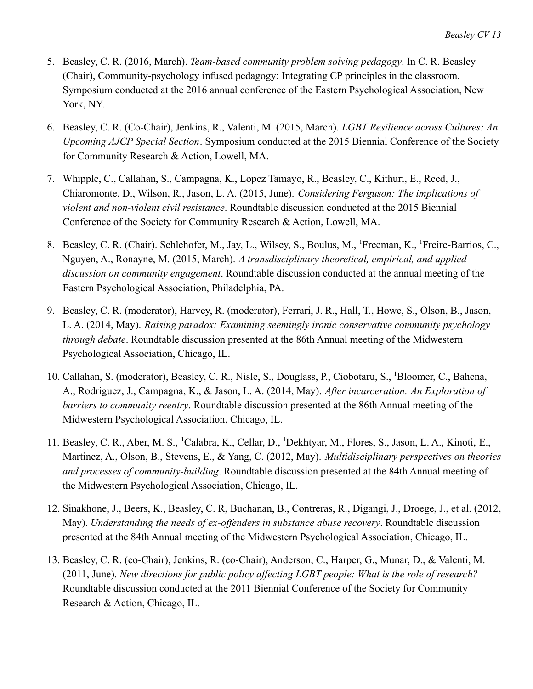- 5. Beasley, C. R. (2016, March). *Team-based community problem solving pedagogy*. In C. R. Beasley (Chair), Community-psychology infused pedagogy: Integrating CP principles in the classroom. Symposium conducted at the 2016 annual conference of the Eastern Psychological Association, New York, NY.
- 6. Beasley, C. R. (Co-Chair), Jenkins, R., Valenti, M. (2015, March). *LGBT Resilience across Cultures: An Upcoming AJCP Special Section*. Symposium conducted at the 2015 Biennial Conference of the Society for Community Research & Action, Lowell, MA.
- 7. Whipple, C., Callahan, S., Campagna, K., Lopez Tamayo, R., Beasley, C., Kithuri, E., Reed, J., Chiaromonte, D., Wilson, R., Jason, L. A. (2015, June). *Considering Ferguson: The implications of violent and non-violent civil resistance*. Roundtable discussion conducted at the 2015 Biennial Conference of the Society for Community Research & Action, Lowell, MA.
- 8. Beasley, C. R. (Chair). Schlehofer, M., Jay, L., Wilsey, S., Boulus, M., <sup>1</sup>Freeman, K., <sup>1</sup>Freire-Barrios, C., Nguyen, A., Ronayne, M. (2015, March). *A transdisciplinary theoretical, empirical, and applied discussion on community engagement*. Roundtable discussion conducted at the annual meeting of the Eastern Psychological Association, Philadelphia, PA.
- 9. Beasley, C. R. (moderator), Harvey, R. (moderator), Ferrari, J. R., Hall, T., Howe, S., Olson, B., Jason, L. A. (2014, May). *Raising paradox: Examining seemingly ironic conservative community psychology through debate*. Roundtable discussion presented at the 86th Annual meeting of the Midwestern Psychological Association, Chicago, IL.
- 10. Callahan, S. (moderator), Beasley, C. R., Nisle, S., Douglass, P., Ciobotaru, S., <sup>1</sup>Bloomer, C., Bahena, A., Rodriguez, J., Campagna, K., & Jason, L. A. (2014, May). *After incarceration: An Exploration of barriers to community reentry*. Roundtable discussion presented at the 86th Annual meeting of the Midwestern Psychological Association, Chicago, IL.
- 11. Beasley, C. R., Aber, M. S., <sup>1</sup>Calabra, K., Cellar, D., <sup>1</sup>Dekhtyar, M., Flores, S., Jason, L. A., Kinoti, E., Martinez, A., Olson, B., Stevens, E., & Yang, C. (2012, May). *Multidisciplinary perspectives on theories and processes of community-building*. Roundtable discussion presented at the 84th Annual meeting of the Midwestern Psychological Association, Chicago, IL.
- 12. Sinakhone, J., Beers, K., Beasley, C. R, Buchanan, B., Contreras, R., Digangi, J., Droege, J., et al. (2012, May). *Understanding the needs of ex-offenders in substance abuse recovery*. Roundtable discussion presented at the 84th Annual meeting of the Midwestern Psychological Association, Chicago, IL.
- 13. Beasley, C. R. (co-Chair), Jenkins, R. (co-Chair), Anderson, C., Harper, G., Munar, D., & Valenti, M. (2011, June). *New directions for public policy affecting LGBT people: What is the role of research?* Roundtable discussion conducted at the 2011 Biennial Conference of the Society for Community Research & Action, Chicago, IL.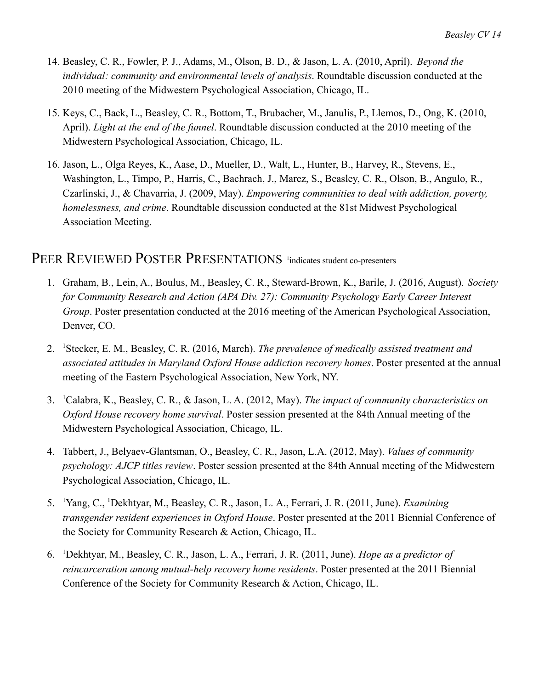- 14. Beasley, C. R., Fowler, P. J., Adams, M., Olson, B. D., & Jason, L. A. (2010, April). *Beyond the individual: community and environmental levels of analysis*. Roundtable discussion conducted at the 2010 meeting of the Midwestern Psychological Association, Chicago, IL.
- 15. Keys, C., Back, L., Beasley, C. R., Bottom, T., Brubacher, M., Janulis, P., Llemos, D., Ong, K. (2010, April). *Light at the end of the funnel*. Roundtable discussion conducted at the 2010 meeting of the Midwestern Psychological Association, Chicago, IL.
- 16. Jason, L., Olga Reyes, K., Aase, D., Mueller, D., Walt, L., Hunter, B., Harvey, R., Stevens, E., Washington, L., Timpo, P., Harris, C., Bachrach, J., Marez, S., Beasley, C. R., Olson, B., Angulo, R., Czarlinski, J., & Chavarria, J. (2009, May). *Empowering communities to deal with addiction, poverty, homelessness, and crime*. Roundtable discussion conducted at the 81st Midwest Psychological Association Meeting.

#### PEER REVIEWED POSTER PRESENTATIONS <sup>1</sup>indicates student co-presenters

- 1. Graham, B., Lein, A., Boulus, M., Beasley, C. R., Steward-Brown, K., Barile, J. (2016, August). *Society for Community Research and Action (APA Div. 27): Community Psychology Early Career Interest Group*. Poster presentation conducted at the 2016 meeting of the American Psychological Association, Denver, CO.
- 2. <sup>1</sup>Stecker, E. M., Beasley, C. R. (2016, March). *The prevalence of medically assisted treatment and associated attitudes in Maryland Oxford House addiction recovery homes*. Poster presented at the annual meeting of the Eastern Psychological Association, New York, NY.
- 3. <sup>1</sup>Calabra, K., Beasley, C. R., & Jason, L. A. (2012, May). *The impact of community characteristics on Oxford House recovery home survival*. Poster session presented at the 84th Annual meeting of the Midwestern Psychological Association, Chicago, IL.
- 4. Tabbert, J., Belyaev-Glantsman, O., Beasley, C. R., Jason, L.A. (2012, May). *Values of community psychology: AJCP titles review*. Poster session presented at the 84th Annual meeting of the Midwestern Psychological Association, Chicago, IL.
- 5. <sup>1</sup>Yang, C., <sup>1</sup>Dekhtyar, M., Beasley, C. R., Jason, L. A., Ferrari, J. R. (2011, June). *Examining transgender resident experiences in Oxford House*. Poster presented at the 2011 Biennial Conference of the Society for Community Research & Action, Chicago, IL.
- 6. <sup>1</sup>Dekhtyar, M., Beasley, C. R., Jason, L. A., Ferrari, J. R. (2011, June). *Hope as a predictor of reincarceration among mutual-help recovery home residents*. Poster presented at the 2011 Biennial Conference of the Society for Community Research & Action, Chicago, IL.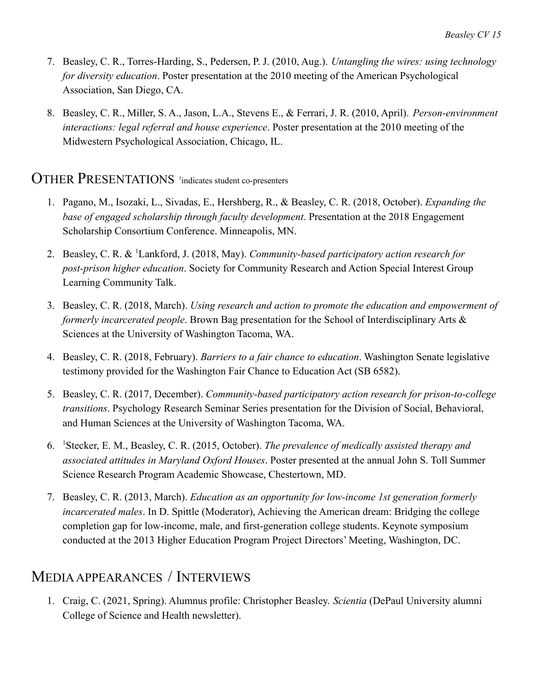- 7. Beasley, C. R., Torres-Harding, S., Pedersen, P. J. (2010, Aug.). *Untangling the wires: using technology for diversity education*. Poster presentation at the 2010 meeting of the American Psychological Association, San Diego, CA.
- 8. Beasley, C. R., Miller, S. A., Jason, L.A., Stevens E., & Ferrari, J. R. (2010, April). *Person-environment interactions: legal referral and house experience*. Poster presentation at the 2010 meeting of the Midwestern Psychological Association, Chicago, IL.

#### OTHER PRESENTATIONS 1 indicates student co-presenters

- 1. Pagano, M., Isozaki, L., Sivadas, E., Hershberg, R., & Beasley, C. R. (2018, October). *Expanding the base of engaged scholarship through faculty development*. Presentation at the 2018 Engagement Scholarship Consortium Conference. Minneapolis, MN.
- 2. Beasley, C. R. & <sup>1</sup>Lankford, J. (2018, May). *Community-based participatory action research for post-prison higher education*. Society for Community Research and Action Special Interest Group Learning Community Talk.
- 3. Beasley, C. R. (2018, March). *Using research and action to promote the education and empowerment of formerly incarcerated people*. Brown Bag presentation for the School of Interdisciplinary Arts & Sciences at the University of Washington Tacoma, WA.
- 4. Beasley, C. R. (2018, February). *Barriers to a fair chance to education*. Washington Senate legislative testimony provided for the Washington Fair Chance to Education Act (SB 6582).
- 5. Beasley, C. R. (2017, December). *Community-based participatory action research for prison-to-college transitions*. Psychology Research Seminar Series presentation for the Division of Social, Behavioral, and Human Sciences at the University of Washington Tacoma, WA.
- 6. <sup>1</sup>Stecker, E. M., Beasley, C. R. (2015, October). *The prevalence of medically assisted therapy and associated attitudes in Maryland Oxford Houses*. Poster presented at the annual John S. Toll Summer Science Research Program Academic Showcase, Chestertown, MD.
- 7. Beasley, C. R. (2013, March). *Education as an opportunity for low-income 1st generation formerly incarcerated males*. In D. Spittle (Moderator), Achieving the American dream: Bridging the college completion gap for low-income, male, and first-generation college students. Keynote symposium conducted at the 2013 Higher Education Program Project Directors' Meeting, Washington, DC.

## MEDIAAPPEARANCES / INTERVIEWS

1. Craig, C. (2021, Spring). Alumnus profile: Christopher Beasley. *Scientia* (DePaul University alumni College of Science and Health newsletter).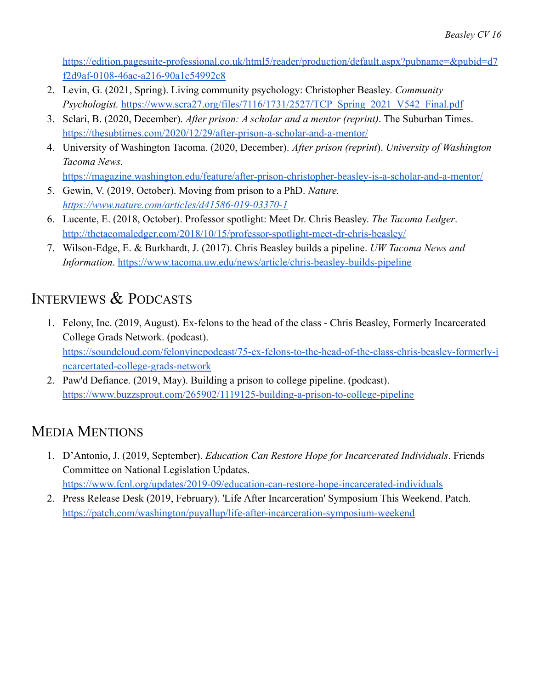[https://edition.pagesuite-professional.co.uk/html5/reader/production/default.aspx?pubname=&pubid=d7](https://edition.pagesuite-professional.co.uk/html5/reader/production/default.aspx?pubname=&pubid=d7f2d9af-0108-46ac-a216-90a1c54992c8) [f2d9af-0108-46ac-a216-90a1c54992c8](https://edition.pagesuite-professional.co.uk/html5/reader/production/default.aspx?pubname=&pubid=d7f2d9af-0108-46ac-a216-90a1c54992c8)

- 2. Levin, G. (2021, Spring). Living community psychology: Christopher Beasley. *Community Psychologist.* [https://www.scra27.org/files/7116/1731/2527/TCP\\_Spring\\_2021\\_V542\\_Final.pdf](https://www.scra27.org/files/7116/1731/2527/TCP_Spring_2021_V542_Final.pdf)
- 3. Sclari, B. (2020, December). *After prison: A scholar and a mentor (reprint)*. The Suburban Times. <https://thesubtimes.com/2020/12/29/after-prison-a-scholar-and-a-mentor/>
- 4. University of Washington Tacoma. (2020, December). *After prison (reprint*). *University of Washington Tacoma News.* <https://magazine.washington.edu/feature/after-prison-christopher-beasley-is-a-scholar-and-a-mentor/>
- 5. Gewin, V. (2019, October). Moving from prison to a PhD. *Nature. <https://www.nature.com/articles/d41586-019-03370-1>*
- 6. Lucente, E. (2018, October). Professor spotlight: Meet Dr. Chris Beasley. *The Tacoma Ledger*. <http://thetacomaledger.com/2018/10/15/professor-spotlight-meet-dr-chris-beasley/>
- 7. Wilson-Edge, E. & Burkhardt, J. (2017). Chris Beasley builds a pipeline. *UW Tacoma News and Information*. <https://www.tacoma.uw.edu/news/article/chris-beasley-builds-pipeline>

# INTERVIEWS & PODCASTS

- 1. Felony, Inc. (2019, August). Ex-felons to the head of the class Chris Beasley, Formerly Incarcerated College Grads Network. (podcast). [https://soundcloud.com/felonyincpodcast/75-ex-felons-to-the-head-of-the-class-chris-beasley-formerly-i](https://soundcloud.com/felonyincpodcast/75-ex-felons-to-the-head-of-the-class-chris-beasley-formerly-incarcertated-college-grads-network) [ncarcertated-college-grads-network](https://soundcloud.com/felonyincpodcast/75-ex-felons-to-the-head-of-the-class-chris-beasley-formerly-incarcertated-college-grads-network)
- 2. Paw'd Defiance. (2019, May). Building a prison to college pipeline. (podcast). <https://www.buzzsprout.com/265902/1119125-building-a-prison-to-college-pipeline>

# MEDIA MENTIONS

- 1. D'Antonio, J. (2019, September). *Education Can Restore Hope for Incarcerated Individuals*. Friends Committee on National Legislation Updates. <https://www.fcnl.org/updates/2019-09/education-can-restore-hope-incarcerated-individuals>
- 2. Press Release Desk (2019, February). 'Life After Incarceration' Symposium This Weekend. Patch. <https://patch.com/washington/puyallup/life-after-incarceration-symposium-weekend>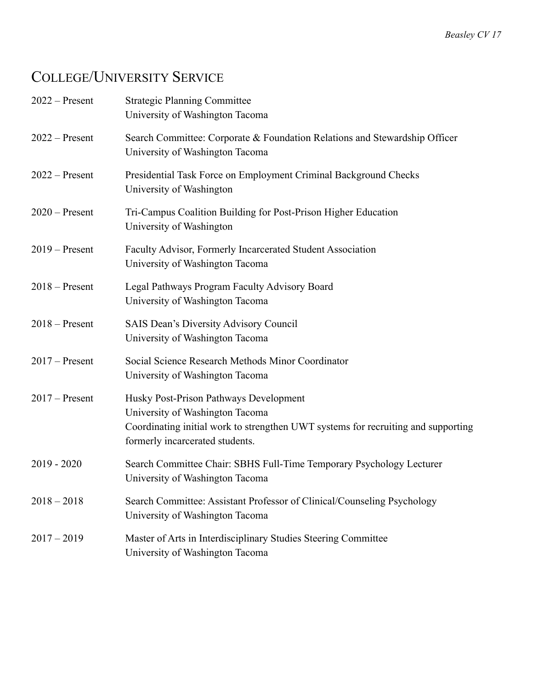# COLLEGE/UNIVERSITY SERVICE

| $2022 -$ Present | <b>Strategic Planning Committee</b><br>University of Washington Tacoma                                                                                                                            |
|------------------|---------------------------------------------------------------------------------------------------------------------------------------------------------------------------------------------------|
| $2022 -$ Present | Search Committee: Corporate & Foundation Relations and Stewardship Officer<br>University of Washington Tacoma                                                                                     |
| $2022 -$ Present | Presidential Task Force on Employment Criminal Background Checks<br>University of Washington                                                                                                      |
| $2020$ – Present | Tri-Campus Coalition Building for Post-Prison Higher Education<br>University of Washington                                                                                                        |
| $2019$ – Present | Faculty Advisor, Formerly Incarcerated Student Association<br>University of Washington Tacoma                                                                                                     |
| $2018 - Present$ | Legal Pathways Program Faculty Advisory Board<br>University of Washington Tacoma                                                                                                                  |
| $2018 -$ Present | <b>SAIS Dean's Diversity Advisory Council</b><br>University of Washington Tacoma                                                                                                                  |
| $2017$ – Present | Social Science Research Methods Minor Coordinator<br>University of Washington Tacoma                                                                                                              |
| $2017$ – Present | Husky Post-Prison Pathways Development<br>University of Washington Tacoma<br>Coordinating initial work to strengthen UWT systems for recruiting and supporting<br>formerly incarcerated students. |
| $2019 - 2020$    | Search Committee Chair: SBHS Full-Time Temporary Psychology Lecturer<br>University of Washington Tacoma                                                                                           |
| $2018 - 2018$    | Search Committee: Assistant Professor of Clinical/Counseling Psychology<br>University of Washington Tacoma                                                                                        |
| $2017 - 2019$    | Master of Arts in Interdisciplinary Studies Steering Committee<br>University of Washington Tacoma                                                                                                 |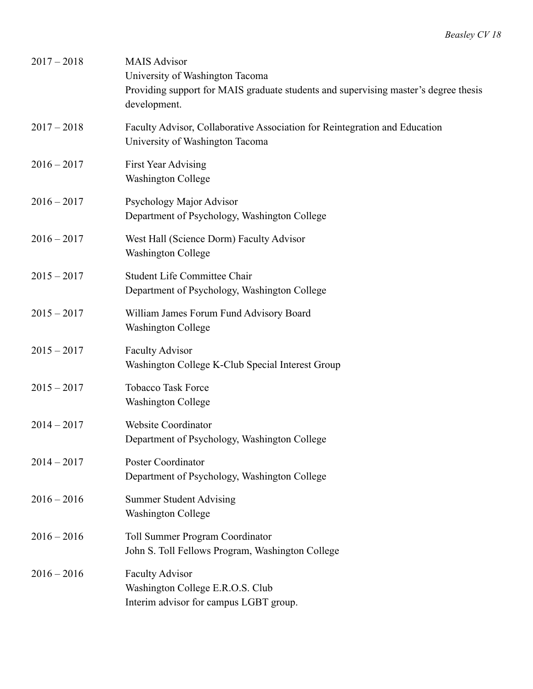| $2017 - 2018$ | <b>MAIS Advisor</b><br>University of Washington Tacoma<br>Providing support for MAIS graduate students and supervising master's degree thesis<br>development. |
|---------------|---------------------------------------------------------------------------------------------------------------------------------------------------------------|
| $2017 - 2018$ | Faculty Advisor, Collaborative Association for Reintegration and Education<br>University of Washington Tacoma                                                 |
| $2016 - 2017$ | First Year Advising<br><b>Washington College</b>                                                                                                              |
| $2016 - 2017$ | Psychology Major Advisor<br>Department of Psychology, Washington College                                                                                      |
| $2016 - 2017$ | West Hall (Science Dorm) Faculty Advisor<br><b>Washington College</b>                                                                                         |
| $2015 - 2017$ | <b>Student Life Committee Chair</b><br>Department of Psychology, Washington College                                                                           |
| $2015 - 2017$ | William James Forum Fund Advisory Board<br><b>Washington College</b>                                                                                          |
| $2015 - 2017$ | <b>Faculty Advisor</b><br>Washington College K-Club Special Interest Group                                                                                    |
| $2015 - 2017$ | <b>Tobacco Task Force</b><br><b>Washington College</b>                                                                                                        |
| $2014 - 2017$ | <b>Website Coordinator</b><br>Department of Psychology, Washington College                                                                                    |
| $2014 - 2017$ | Poster Coordinator<br>Department of Psychology, Washington College                                                                                            |
| $2016 - 2016$ | <b>Summer Student Advising</b><br><b>Washington College</b>                                                                                                   |
| $2016 - 2016$ | Toll Summer Program Coordinator<br>John S. Toll Fellows Program, Washington College                                                                           |
| $2016 - 2016$ | <b>Faculty Advisor</b><br>Washington College E.R.O.S. Club<br>Interim advisor for campus LGBT group.                                                          |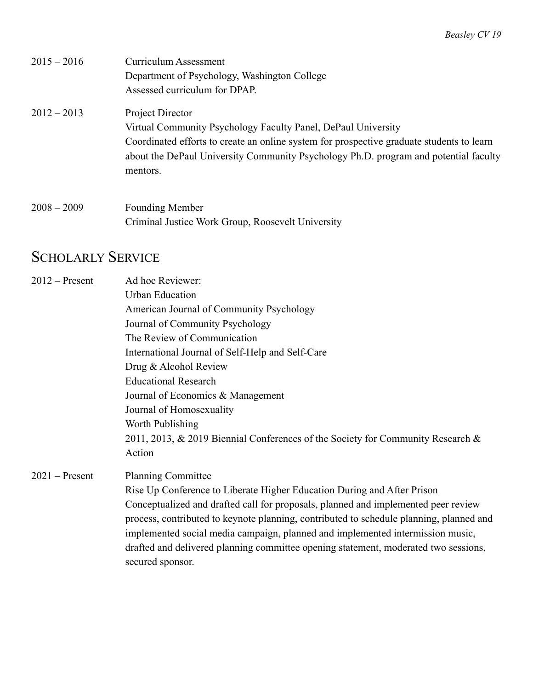| $2015 - 2016$ | Curriculum Assessment                                                                     |
|---------------|-------------------------------------------------------------------------------------------|
|               | Department of Psychology, Washington College                                              |
|               | Assessed curriculum for DPAP.                                                             |
| $2012 - 2013$ | Project Director                                                                          |
|               | Virtual Community Psychology Faculty Panel, DePaul University                             |
|               | Coordinated efforts to create an online system for prospective graduate students to learn |
|               | about the DePaul University Community Psychology Ph.D. program and potential faculty      |
|               | mentors.                                                                                  |
| $2008 - 2009$ | <b>Founding Member</b>                                                                    |
|               | Criminal Justice Work Group, Roosevelt University                                         |
|               |                                                                                           |

# SCHOLARLY SERVICE

| $2012$ – Present | Ad hoc Reviewer:                                                                        |
|------------------|-----------------------------------------------------------------------------------------|
|                  | <b>Urban Education</b>                                                                  |
|                  | American Journal of Community Psychology                                                |
|                  | Journal of Community Psychology                                                         |
|                  | The Review of Communication                                                             |
|                  | International Journal of Self-Help and Self-Care                                        |
|                  | Drug & Alcohol Review                                                                   |
|                  | <b>Educational Research</b>                                                             |
|                  | Journal of Economics & Management                                                       |
|                  | Journal of Homosexuality                                                                |
|                  | Worth Publishing                                                                        |
|                  | 2011, 2013, & 2019 Biennial Conferences of the Society for Community Research &         |
|                  | Action                                                                                  |
| $2021$ – Present | <b>Planning Committee</b>                                                               |
|                  | Rise Up Conference to Liberate Higher Education During and After Prison                 |
|                  | Conceptualized and drafted call for proposals, planned and implemented peer review      |
|                  | process, contributed to keynote planning, contributed to schedule planning, planned and |
|                  | implemented social media campaign, planned and implemented intermission music,          |
|                  | drafted and delivered planning committee opening statement, moderated two sessions,     |
|                  | secured sponsor.                                                                        |
|                  |                                                                                         |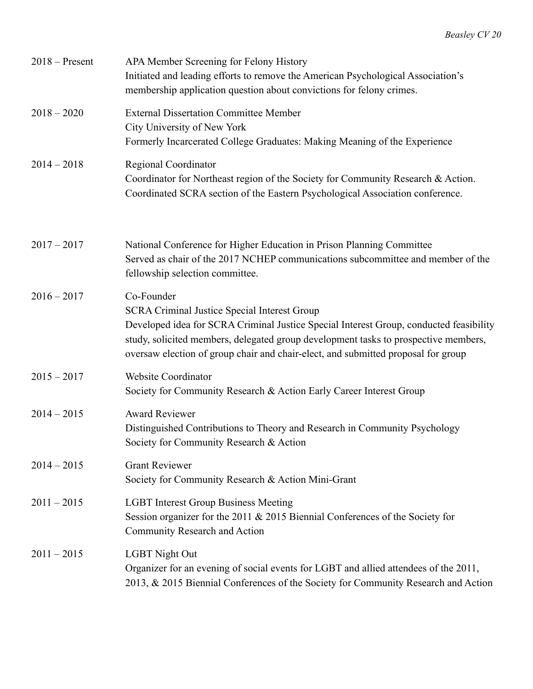| $2018 -$ Present | APA Member Screening for Felony History<br>Initiated and leading efforts to remove the American Psychological Association's<br>membership application question about convictions for felony crimes.                                                                                                                                     |
|------------------|-----------------------------------------------------------------------------------------------------------------------------------------------------------------------------------------------------------------------------------------------------------------------------------------------------------------------------------------|
| $2018 - 2020$    | <b>External Dissertation Committee Member</b><br>City University of New York<br>Formerly Incarcerated College Graduates: Making Meaning of the Experience                                                                                                                                                                               |
| $2014 - 2018$    | Regional Coordinator<br>Coordinator for Northeast region of the Society for Community Research & Action.<br>Coordinated SCRA section of the Eastern Psychological Association conference.                                                                                                                                               |
| $2017 - 2017$    | National Conference for Higher Education in Prison Planning Committee<br>Served as chair of the 2017 NCHEP communications subcommittee and member of the<br>fellowship selection committee.                                                                                                                                             |
| $2016 - 2017$    | Co-Founder<br><b>SCRA Criminal Justice Special Interest Group</b><br>Developed idea for SCRA Criminal Justice Special Interest Group, conducted feasibility<br>study, solicited members, delegated group development tasks to prospective members,<br>oversaw election of group chair and chair-elect, and submitted proposal for group |
| $2015 - 2017$    | Website Coordinator<br>Society for Community Research & Action Early Career Interest Group                                                                                                                                                                                                                                              |
| $2014 - 2015$    | <b>Award Reviewer</b><br>Distinguished Contributions to Theory and Research in Community Psychology<br>Society for Community Research & Action                                                                                                                                                                                          |
| $2014 - 2015$    | <b>Grant Reviewer</b><br>Society for Community Research & Action Mini-Grant                                                                                                                                                                                                                                                             |
| $2011 - 2015$    | <b>LGBT</b> Interest Group Business Meeting<br>Session organizer for the 2011 $&$ 2015 Biennial Conferences of the Society for<br>Community Research and Action                                                                                                                                                                         |
| $2011 - 2015$    | <b>LGBT Night Out</b><br>Organizer for an evening of social events for LGBT and allied attendees of the 2011,<br>2013, & 2015 Biennial Conferences of the Society for Community Research and Action                                                                                                                                     |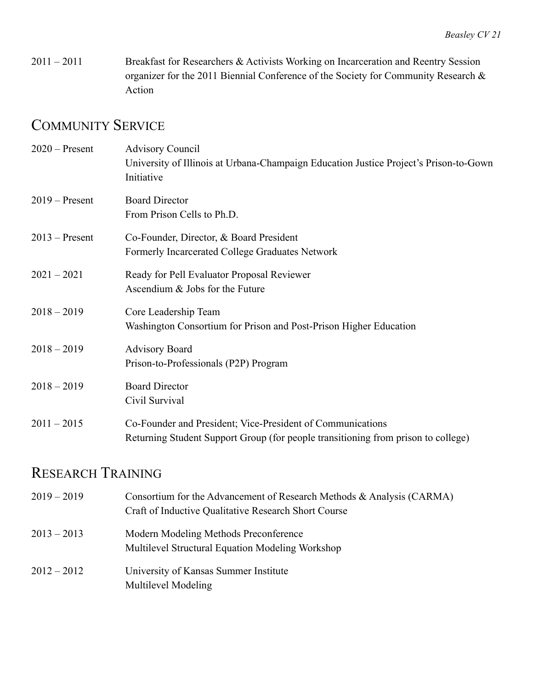2011 – 2011 Breakfast for Researchers & Activists Working on Incarceration and Reentry Session organizer for the 2011 Biennial Conference of the Society for Community Research & Action

## COMMUNITY SERVICE

| $2020$ – Present | <b>Advisory Council</b><br>University of Illinois at Urbana-Champaign Education Justice Project's Prison-to-Gown<br>Initiative                  |
|------------------|-------------------------------------------------------------------------------------------------------------------------------------------------|
| $2019 -$ Present | <b>Board Director</b><br>From Prison Cells to Ph.D.                                                                                             |
| $2013$ – Present | Co-Founder, Director, & Board President<br>Formerly Incarcerated College Graduates Network                                                      |
| $2021 - 2021$    | Ready for Pell Evaluator Proposal Reviewer<br>Ascendium & Jobs for the Future                                                                   |
| $2018 - 2019$    | Core Leadership Team<br>Washington Consortium for Prison and Post-Prison Higher Education                                                       |
| $2018 - 2019$    | <b>Advisory Board</b><br>Prison-to-Professionals (P2P) Program                                                                                  |
| $2018 - 2019$    | <b>Board Director</b><br>Civil Survival                                                                                                         |
| $2011 - 2015$    | Co-Founder and President; Vice-President of Communications<br>Returning Student Support Group (for people transitioning from prison to college) |

# RESEARCH TRAINING

| $2019 - 2019$ | Consortium for the Advancement of Research Methods & Analysis (CARMA)<br>Craft of Inductive Qualitative Research Short Course |
|---------------|-------------------------------------------------------------------------------------------------------------------------------|
| $2013 - 2013$ | Modern Modeling Methods Preconference<br>Multilevel Structural Equation Modeling Workshop                                     |
| $2012 - 2012$ | University of Kansas Summer Institute<br>Multilevel Modeling                                                                  |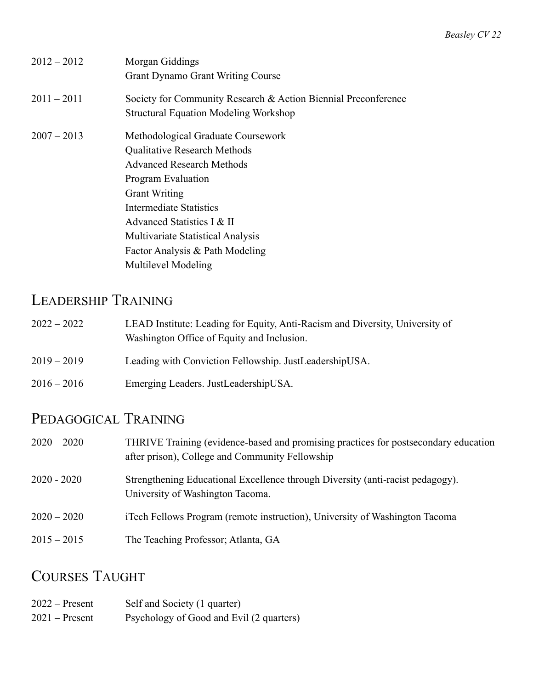| $2012 - 2012$ | Morgan Giddings<br><b>Grant Dynamo Grant Writing Course</b>                                                                                                                                                                                                                                                                       |
|---------------|-----------------------------------------------------------------------------------------------------------------------------------------------------------------------------------------------------------------------------------------------------------------------------------------------------------------------------------|
| $2011 - 2011$ | Society for Community Research & Action Biennial Preconference<br><b>Structural Equation Modeling Workshop</b>                                                                                                                                                                                                                    |
| $2007 - 2013$ | Methodological Graduate Coursework<br><b>Qualitative Research Methods</b><br><b>Advanced Research Methods</b><br>Program Evaluation<br><b>Grant Writing</b><br><b>Intermediate Statistics</b><br>Advanced Statistics I & II<br><b>Multivariate Statistical Analysis</b><br>Factor Analysis & Path Modeling<br>Multilevel Modeling |

# LEADERSHIP TRAINING

| $2022 - 2022$ | LEAD Institute: Leading for Equity, Anti-Racism and Diversity, University of |
|---------------|------------------------------------------------------------------------------|
|               | Washington Office of Equity and Inclusion.                                   |

- 2019 2019 Leading with Conviction Fellowship. JustLeadershipUSA.
- 2016 2016 Emerging Leaders. JustLeadershipUSA.

## PEDAGOGICAL TRAINING

| $2020 - 2020$ | THRIVE Training (evidence-based and promising practices for postsecondary education<br>after prison), College and Community Fellowship |
|---------------|----------------------------------------------------------------------------------------------------------------------------------------|
| $2020 - 2020$ | Strengthening Educational Excellence through Diversity (anti-racist pedagogy).<br>University of Washington Tacoma.                     |
| $2020 - 2020$ | iTech Fellows Program (remote instruction), University of Washington Tacoma                                                            |
| $2015 - 2015$ | The Teaching Professor; Atlanta, GA                                                                                                    |

## COURSES TAUGHT

| $2022 -$ Present | Self and Society (1 quarter)             |
|------------------|------------------------------------------|
| $2021$ – Present | Psychology of Good and Evil (2 quarters) |